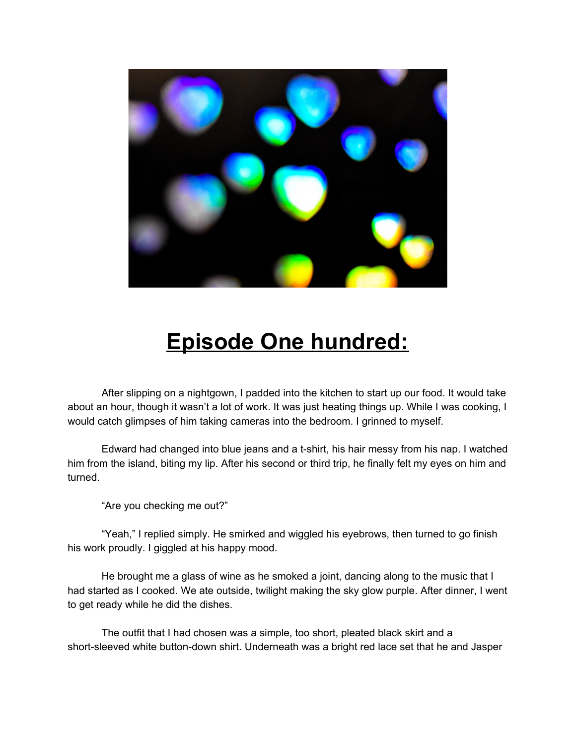

## **Episode One hundred:**

After slipping on a nightgown, I padded into the kitchen to start up our food. It would take about an hour, though it wasn't a lot of work. It was just heating things up. While I was cooking, I would catch glimpses of him taking cameras into the bedroom. I grinned to myself.

Edward had changed into blue jeans and a t-shirt, his hair messy from his nap. I watched him from the island, biting my lip. After his second or third trip, he finally felt my eyes on him and turned.

"Are you checking me out?"

"Yeah," I replied simply. He smirked and wiggled his eyebrows, then turned to go finish his work proudly. I giggled at his happy mood.

He brought me a glass of wine as he smoked a joint, dancing along to the music that I had started as I cooked. We ate outside, twilight making the sky glow purple. After dinner, I went to get ready while he did the dishes.

The outfit that I had chosen was a simple, too short, pleated black skirt and a short-sleeved white button-down shirt. Underneath was a bright red lace set that he and Jasper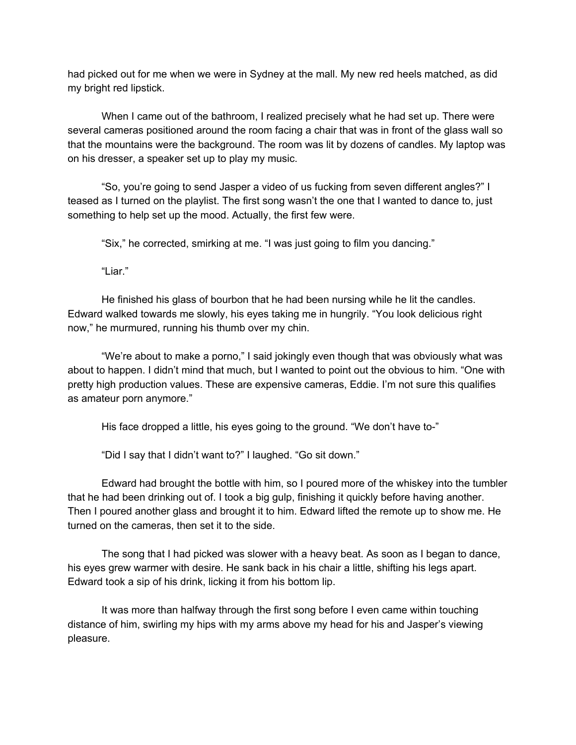had picked out for me when we were in Sydney at the mall. My new red heels matched, as did my bright red lipstick.

When I came out of the bathroom, I realized precisely what he had set up. There were several cameras positioned around the room facing a chair that was in front of the glass wall so that the mountains were the background. The room was lit by dozens of candles. My laptop was on his dresser, a speaker set up to play my music.

"So, you're going to send Jasper a video of us fucking from seven different angles?" I teased as I turned on the playlist. The first song wasn't the one that I wanted to dance to, just something to help set up the mood. Actually, the first few were.

"Six," he corrected, smirking at me. "I was just going to film you dancing."

"Liar."

He finished his glass of bourbon that he had been nursing while he lit the candles. Edward walked towards me slowly, his eyes taking me in hungrily. "You look delicious right now," he murmured, running his thumb over my chin.

"We're about to make a porno," I said jokingly even though that was obviously what was about to happen. I didn't mind that much, but I wanted to point out the obvious to him. "One with pretty high production values. These are expensive cameras, Eddie. I'm not sure this qualifies as amateur porn anymore."

His face dropped a little, his eyes going to the ground. "We don't have to-"

"Did I say that I didn't want to?" I laughed. "Go sit down."

Edward had brought the bottle with him, so I poured more of the whiskey into the tumbler that he had been drinking out of. I took a big gulp, finishing it quickly before having another. Then I poured another glass and brought it to him. Edward lifted the remote up to show me. He turned on the cameras, then set it to the side.

The song that I had picked was slower with a heavy beat. As soon as I began to dance, his eyes grew warmer with desire. He sank back in his chair a little, shifting his legs apart. Edward took a sip of his drink, licking it from his bottom lip.

It was more than halfway through the first song before I even came within touching distance of him, swirling my hips with my arms above my head for his and Jasper's viewing pleasure.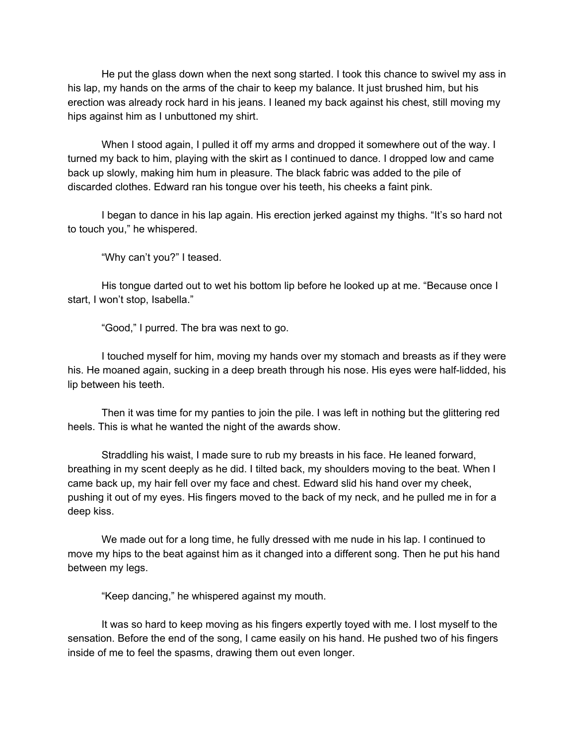He put the glass down when the next song started. I took this chance to swivel my ass in his lap, my hands on the arms of the chair to keep my balance. It just brushed him, but his erection was already rock hard in his jeans. I leaned my back against his chest, still moving my hips against him as I unbuttoned my shirt.

When I stood again, I pulled it off my arms and dropped it somewhere out of the way. I turned my back to him, playing with the skirt as I continued to dance. I dropped low and came back up slowly, making him hum in pleasure. The black fabric was added to the pile of discarded clothes. Edward ran his tongue over his teeth, his cheeks a faint pink.

I began to dance in his lap again. His erection jerked against my thighs. "It's so hard not to touch you," he whispered.

"Why can't you?" I teased.

His tongue darted out to wet his bottom lip before he looked up at me. "Because once I start, I won't stop, Isabella."

"Good," I purred. The bra was next to go.

I touched myself for him, moving my hands over my stomach and breasts as if they were his. He moaned again, sucking in a deep breath through his nose. His eyes were half-lidded, his lip between his teeth.

Then it was time for my panties to join the pile. I was left in nothing but the glittering red heels. This is what he wanted the night of the awards show.

Straddling his waist, I made sure to rub my breasts in his face. He leaned forward, breathing in my scent deeply as he did. I tilted back, my shoulders moving to the beat. When I came back up, my hair fell over my face and chest. Edward slid his hand over my cheek, pushing it out of my eyes. His fingers moved to the back of my neck, and he pulled me in for a deep kiss.

We made out for a long time, he fully dressed with me nude in his lap. I continued to move my hips to the beat against him as it changed into a different song. Then he put his hand between my legs.

"Keep dancing," he whispered against my mouth.

It was so hard to keep moving as his fingers expertly toyed with me. I lost myself to the sensation. Before the end of the song, I came easily on his hand. He pushed two of his fingers inside of me to feel the spasms, drawing them out even longer.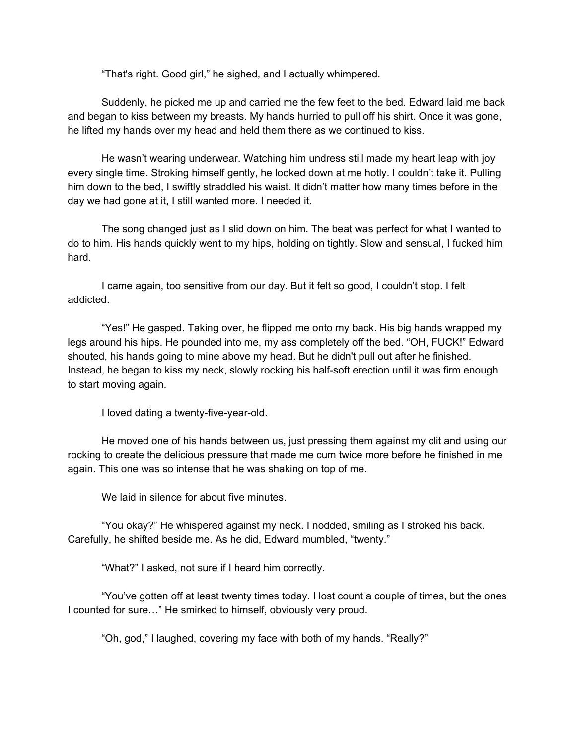"That's right. Good girl," he sighed, and I actually whimpered.

Suddenly, he picked me up and carried me the few feet to the bed. Edward laid me back and began to kiss between my breasts. My hands hurried to pull off his shirt. Once it was gone, he lifted my hands over my head and held them there as we continued to kiss.

He wasn't wearing underwear. Watching him undress still made my heart leap with joy every single time. Stroking himself gently, he looked down at me hotly. I couldn't take it. Pulling him down to the bed, I swiftly straddled his waist. It didn't matter how many times before in the day we had gone at it, I still wanted more. I needed it.

The song changed just as I slid down on him. The beat was perfect for what I wanted to do to him. His hands quickly went to my hips, holding on tightly. Slow and sensual, I fucked him hard.

I came again, too sensitive from our day. But it felt so good, I couldn't stop. I felt addicted.

"Yes!" He gasped. Taking over, he flipped me onto my back. His big hands wrapped my legs around his hips. He pounded into me, my ass completely off the bed. "OH, FUCK!" Edward shouted, his hands going to mine above my head. But he didn't pull out after he finished. Instead, he began to kiss my neck, slowly rocking his half-soft erection until it was firm enough to start moving again.

I loved dating a twenty-five-year-old.

He moved one of his hands between us, just pressing them against my clit and using our rocking to create the delicious pressure that made me cum twice more before he finished in me again. This one was so intense that he was shaking on top of me.

We laid in silence for about five minutes.

"You okay?" He whispered against my neck. I nodded, smiling as I stroked his back. Carefully, he shifted beside me. As he did, Edward mumbled, "twenty."

"What?" I asked, not sure if I heard him correctly.

"You've gotten off at least twenty times today. I lost count a couple of times, but the ones I counted for sure…" He smirked to himself, obviously very proud.

"Oh, god," I laughed, covering my face with both of my hands. "Really?"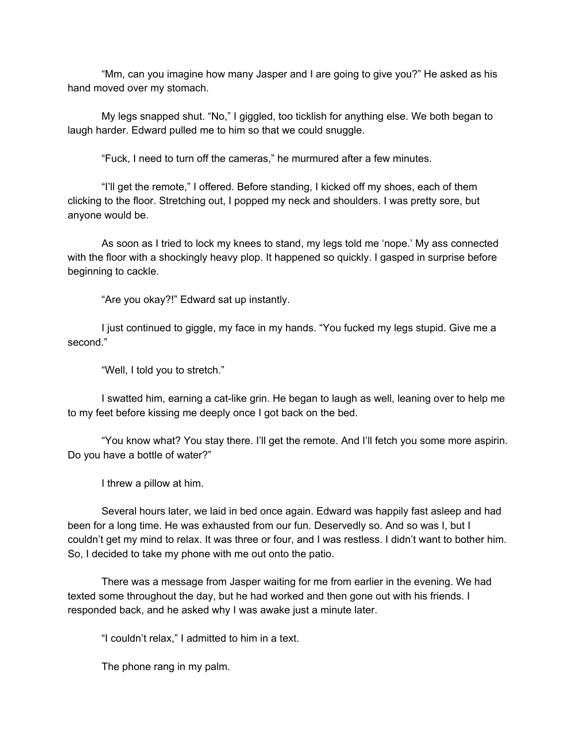"Mm, can you imagine how many Jasper and I are going to give you?" He asked as his hand moved over my stomach.

My legs snapped shut. "No," I giggled, too ticklish for anything else. We both began to laugh harder. Edward pulled me to him so that we could snuggle.

"Fuck, I need to turn off the cameras," he murmured after a few minutes.

"I'll get the remote," I offered. Before standing, I kicked off my shoes, each of them clicking to the floor. Stretching out, I popped my neck and shoulders. I was pretty sore, but anyone would be.

As soon as I tried to lock my knees to stand, my legs told me 'nope.' My ass connected with the floor with a shockingly heavy plop. It happened so quickly. I gasped in surprise before beginning to cackle.

"Are you okay?!" Edward sat up instantly.

I just continued to giggle, my face in my hands. "You fucked my legs stupid. Give me a second."

"Well, I told you to stretch."

I swatted him, earning a cat-like grin. He began to laugh as well, leaning over to help me to my feet before kissing me deeply once I got back on the bed.

"You know what? You stay there. I'll get the remote. And I'll fetch you some more aspirin. Do you have a bottle of water?"

I threw a pillow at him.

Several hours later, we laid in bed once again. Edward was happily fast asleep and had been for a long time. He was exhausted from our fun. Deservedly so. And so was I, but I couldn't get my mind to relax. It was three or four, and I was restless. I didn't want to bother him. So, I decided to take my phone with me out onto the patio.

There was a message from Jasper waiting for me from earlier in the evening. We had texted some throughout the day, but he had worked and then gone out with his friends. I responded back, and he asked why I was awake just a minute later.

"I couldn't relax," I admitted to him in a text.

The phone rang in my palm.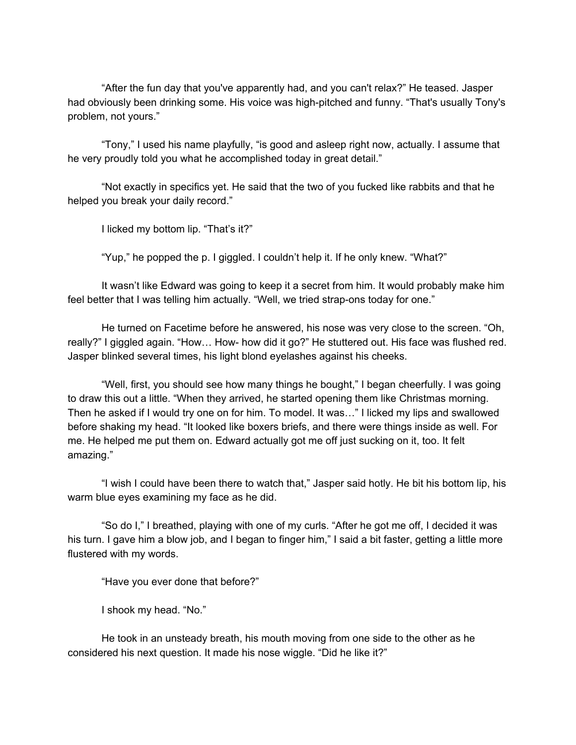"After the fun day that you've apparently had, and you can't relax?" He teased. Jasper had obviously been drinking some. His voice was high-pitched and funny. "That's usually Tony's problem, not yours."

"Tony," I used his name playfully, "is good and asleep right now, actually. I assume that he very proudly told you what he accomplished today in great detail."

"Not exactly in specifics yet. He said that the two of you fucked like rabbits and that he helped you break your daily record."

I licked my bottom lip. "That's it?"

"Yup," he popped the p. I giggled. I couldn't help it. If he only knew. "What?"

It wasn't like Edward was going to keep it a secret from him. It would probably make him feel better that I was telling him actually. "Well, we tried strap-ons today for one."

He turned on Facetime before he answered, his nose was very close to the screen. "Oh, really?" I giggled again. "How… How- how did it go?" He stuttered out. His face was flushed red. Jasper blinked several times, his light blond eyelashes against his cheeks.

"Well, first, you should see how many things he bought," I began cheerfully. I was going to draw this out a little. "When they arrived, he started opening them like Christmas morning. Then he asked if I would try one on for him. To model. It was…" I licked my lips and swallowed before shaking my head. "It looked like boxers briefs, and there were things inside as well. For me. He helped me put them on. Edward actually got me off just sucking on it, too. It felt amazing."

"I wish I could have been there to watch that," Jasper said hotly. He bit his bottom lip, his warm blue eyes examining my face as he did.

"So do I," I breathed, playing with one of my curls. "After he got me off, I decided it was his turn. I gave him a blow job, and I began to finger him," I said a bit faster, getting a little more flustered with my words.

"Have you ever done that before?"

I shook my head. "No."

He took in an unsteady breath, his mouth moving from one side to the other as he considered his next question. It made his nose wiggle. "Did he like it?"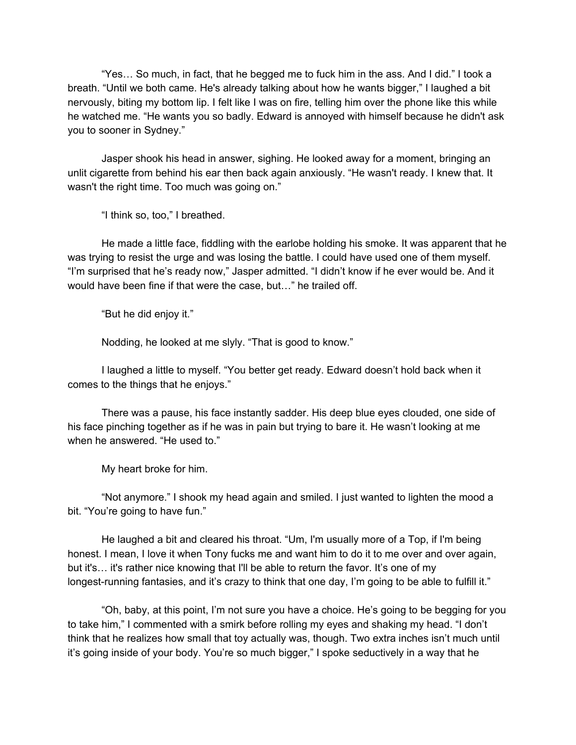"Yes… So much, in fact, that he begged me to fuck him in the ass. And I did." I took a breath. "Until we both came. He's already talking about how he wants bigger," I laughed a bit nervously, biting my bottom lip. I felt like I was on fire, telling him over the phone like this while he watched me. "He wants you so badly. Edward is annoyed with himself because he didn't ask you to sooner in Sydney."

Jasper shook his head in answer, sighing. He looked away for a moment, bringing an unlit cigarette from behind his ear then back again anxiously. "He wasn't ready. I knew that. It wasn't the right time. Too much was going on."

"I think so, too," I breathed.

He made a little face, fiddling with the earlobe holding his smoke. It was apparent that he was trying to resist the urge and was losing the battle. I could have used one of them myself. "I'm surprised that he's ready now," Jasper admitted. "I didn't know if he ever would be. And it would have been fine if that were the case, but…" he trailed off.

"But he did enjoy it."

Nodding, he looked at me slyly. "That is good to know."

I laughed a little to myself. "You better get ready. Edward doesn't hold back when it comes to the things that he enjoys."

There was a pause, his face instantly sadder. His deep blue eyes clouded, one side of his face pinching together as if he was in pain but trying to bare it. He wasn't looking at me when he answered. "He used to."

My heart broke for him.

"Not anymore." I shook my head again and smiled. I just wanted to lighten the mood a bit. "You're going to have fun."

He laughed a bit and cleared his throat. "Um, I'm usually more of a Top, if I'm being honest. I mean, I love it when Tony fucks me and want him to do it to me over and over again, but it's… it's rather nice knowing that I'll be able to return the favor. It's one of my longest-running fantasies, and it's crazy to think that one day, I'm going to be able to fulfill it."

"Oh, baby, at this point, I'm not sure you have a choice. He's going to be begging for you to take him," I commented with a smirk before rolling my eyes and shaking my head. "I don't think that he realizes how small that toy actually was, though. Two extra inches isn't much until it's going inside of your body. You're so much bigger," I spoke seductively in a way that he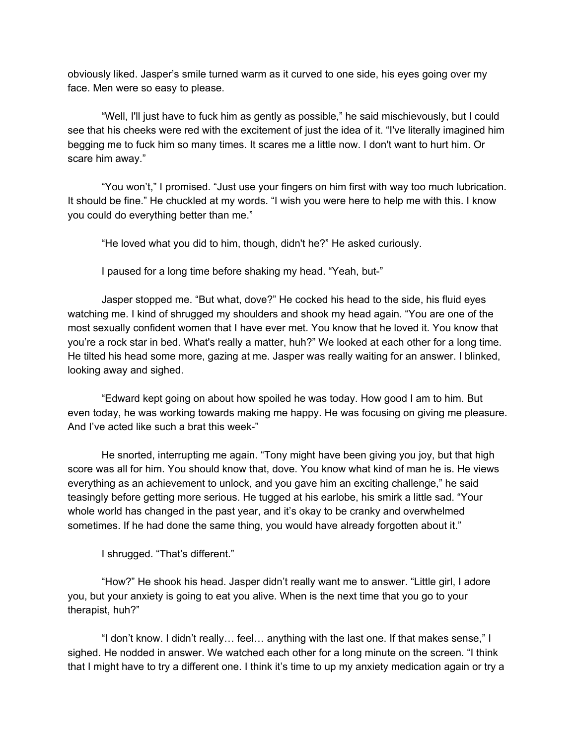obviously liked. Jasper's smile turned warm as it curved to one side, his eyes going over my face. Men were so easy to please.

"Well, I'll just have to fuck him as gently as possible," he said mischievously, but I could see that his cheeks were red with the excitement of just the idea of it. "I've literally imagined him begging me to fuck him so many times. It scares me a little now. I don't want to hurt him. Or scare him away."

"You won't," I promised. "Just use your fingers on him first with way too much lubrication. It should be fine." He chuckled at my words. "I wish you were here to help me with this. I know you could do everything better than me."

"He loved what you did to him, though, didn't he?" He asked curiously.

I paused for a long time before shaking my head. "Yeah, but-"

Jasper stopped me. "But what, dove?" He cocked his head to the side, his fluid eyes watching me. I kind of shrugged my shoulders and shook my head again. "You are one of the most sexually confident women that I have ever met. You know that he loved it. You know that you're a rock star in bed. What's really a matter, huh?" We looked at each other for a long time. He tilted his head some more, gazing at me. Jasper was really waiting for an answer. I blinked, looking away and sighed.

"Edward kept going on about how spoiled he was today. How good I am to him. But even today, he was working towards making me happy. He was focusing on giving me pleasure. And I've acted like such a brat this week-"

He snorted, interrupting me again. "Tony might have been giving you joy, but that high score was all for him. You should know that, dove. You know what kind of man he is. He views everything as an achievement to unlock, and you gave him an exciting challenge," he said teasingly before getting more serious. He tugged at his earlobe, his smirk a little sad. "Your whole world has changed in the past year, and it's okay to be cranky and overwhelmed sometimes. If he had done the same thing, you would have already forgotten about it."

I shrugged. "That's different."

"How?" He shook his head. Jasper didn't really want me to answer. "Little girl, I adore you, but your anxiety is going to eat you alive. When is the next time that you go to your therapist, huh?"

"I don't know. I didn't really… feel… anything with the last one. If that makes sense," I sighed. He nodded in answer. We watched each other for a long minute on the screen. "I think that I might have to try a different one. I think it's time to up my anxiety medication again or try a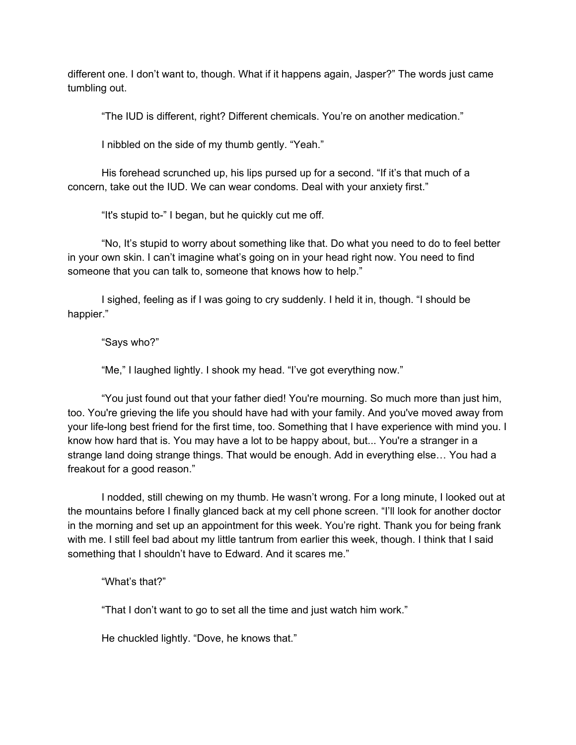different one. I don't want to, though. What if it happens again, Jasper?" The words just came tumbling out.

"The IUD is different, right? Different chemicals. You're on another medication."

I nibbled on the side of my thumb gently. "Yeah."

His forehead scrunched up, his lips pursed up for a second. "If it's that much of a concern, take out the IUD. We can wear condoms. Deal with your anxiety first."

"It's stupid to-" I began, but he quickly cut me off.

"No, It's stupid to worry about something like that. Do what you need to do to feel better in your own skin. I can't imagine what's going on in your head right now. You need to find someone that you can talk to, someone that knows how to help."

I sighed, feeling as if I was going to cry suddenly. I held it in, though. "I should be happier."

"Says who?"

"Me," I laughed lightly. I shook my head. "I've got everything now."

"You just found out that your father died! You're mourning. So much more than just him, too. You're grieving the life you should have had with your family. And you've moved away from your life-long best friend for the first time, too. Something that I have experience with mind you. I know how hard that is. You may have a lot to be happy about, but... You're a stranger in a strange land doing strange things. That would be enough. Add in everything else… You had a freakout for a good reason."

I nodded, still chewing on my thumb. He wasn't wrong. For a long minute, I looked out at the mountains before I finally glanced back at my cell phone screen. "I'll look for another doctor in the morning and set up an appointment for this week. You're right. Thank you for being frank with me. I still feel bad about my little tantrum from earlier this week, though. I think that I said something that I shouldn't have to Edward. And it scares me."

"What's that?"

"That I don't want to go to set all the time and just watch him work."

He chuckled lightly. "Dove, he knows that."